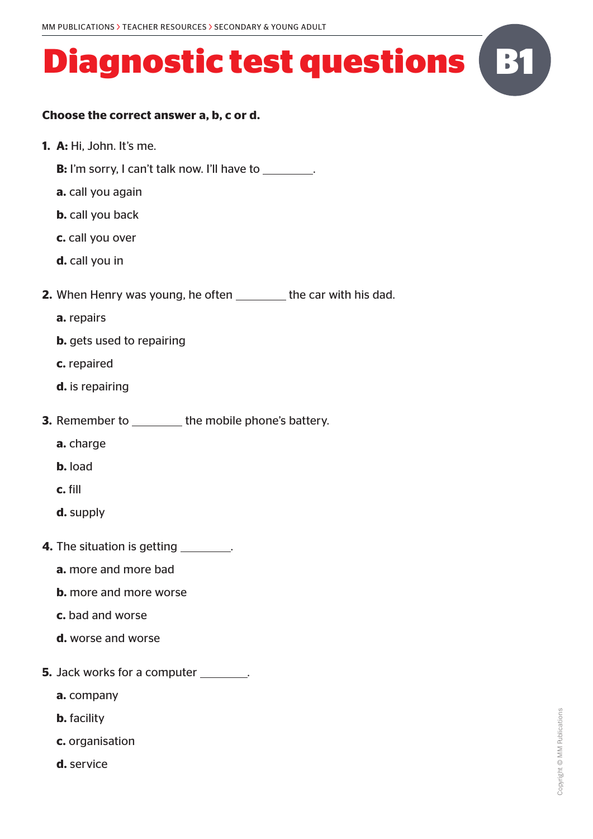#### **Choose the correct answer a, b, c or d.**

- **1. A:** Hi, John. It's me.
	- **B:** I'm sorry, I can't talk now. I'll have to .
	- **a.** call you again
	- **b.** call you back
	- **c.** call you over
	- **d.** call you in
- **2.** When Henry was young, he often \_\_\_\_\_\_\_ the car with his dad.
	- **a.** repairs
	- **b.** gets used to repairing
	- **c.** repaired
	- **d.** is repairing
- **3.** Remember to the mobile phone's battery.
	- **a.** charge
	- **b.** load
	- **c.** fill
	- **d.** supply
- **4.** The situation is getting \_\_\_\_\_\_\_\_\_.
	- **a.** more and more bad
	- **b.** more and more worse
	- **c.** bad and worse
	- **d.** worse and worse
- **5.** Jack works for a computer \_\_\_\_\_\_\_.
	- **a.** company
	- **b.** facility
	- **c.** organisation
	- **d.** service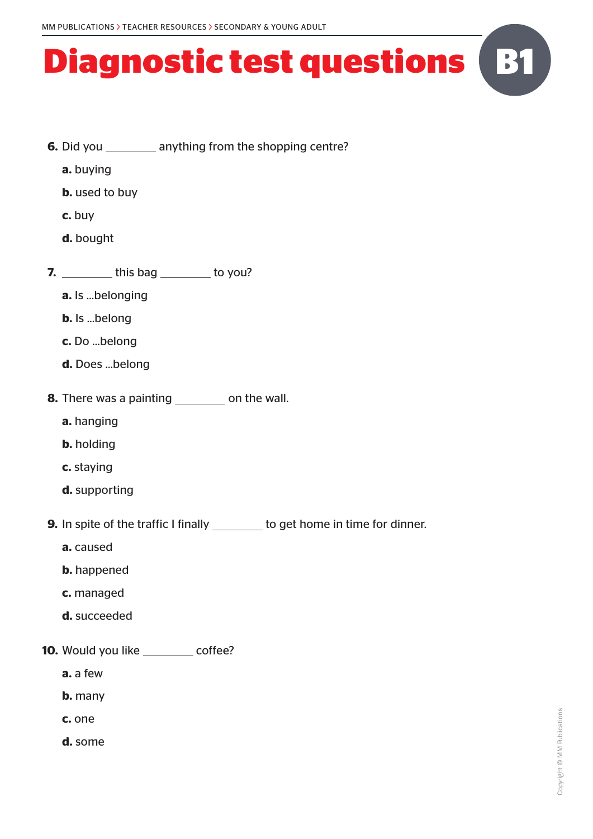- **6.** Did you \_\_\_\_\_\_\_\_\_ anything from the shopping centre?
	- **a.** buying
	- **b.** used to buy
	- **c.** buy
	- **d.** bought
- **7.** \_\_\_\_\_\_\_\_\_ this bag \_\_\_\_\_\_\_\_ to you?
	- **a.** Is …belonging
	- **b.** Is …belong
	- **c.** Do …belong
	- **d.** Does …belong
- **8.** There was a painting \_\_\_\_\_\_\_\_\_ on the wall.
	- **a.** hanging
	- **b.** holding
	- **c.** staying
	- **d.** supporting
- **9.** In spite of the traffic I finally \_\_\_\_\_\_\_ to get home in time for dinner.
	- **a.** caused
	- **b.** happened
	- **c.** managed
	- **d.** succeeded
- **10.** Would you like \_\_\_\_\_\_\_\_ coffee?
	- **a.** a few
	- **b.** many
	- **c.** one
	- **d.** some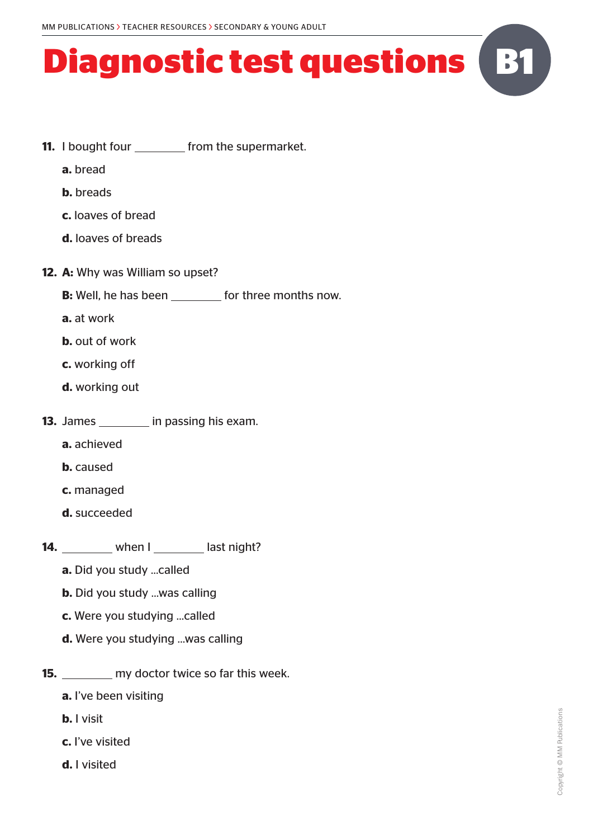- **11.** I bought four \_\_\_\_\_\_\_\_\_ from the supermarket.
	- **a.** bread
	- **b.** breads
	- **c.** loaves of bread
	- **d.** loaves of breads
- **12. A:** Why was William so upset?
	- **B:** Well, he has been for three months now.
	- **a.** at work
	- **b.** out of work
	- **c.** working off
	- **d.** working out
- **13.** James in passing his exam.
	- **a.** achieved
	- **b.** caused
	- **c.** managed
	- **d.** succeeded
- 14. when I last night?
	- **a.** Did you study …called
	- **b.** Did you study …was calling
	- **c.** Were you studying …called
	- **d.** Were you studying …was calling
- **15.** my doctor twice so far this week.
	- **a.** I've been visiting
	- **b.** I visit
	- **c.** I've visited
	- **d.** I visited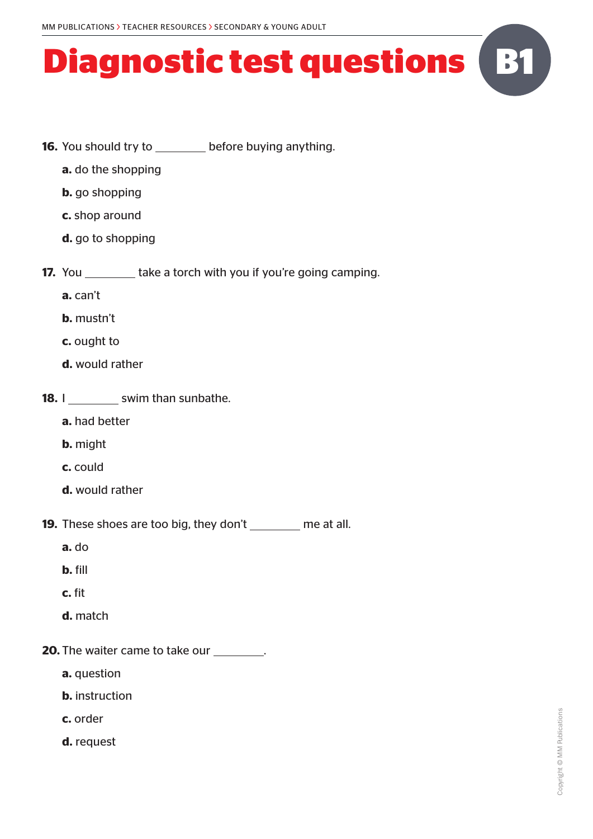- **16.** You should try to before buying anything.
	- **a.** do the shopping
	- **b.** go shopping
	- **c.** shop around
	- **d.** go to shopping
- **17.** You take a torch with you if you're going camping.
	- **a.** can't
	- **b.** mustn't
	- **c.** ought to
	- **d.** would rather
- **18.** I swim than sunbathe.
	- **a.** had better
	- **b.** might
	- **c.** could
	- **d.** would rather
- **19.** These shoes are too big, they don't \_\_\_\_\_\_\_ me at all.
	- **a.** do
	- **b.** fill
	- **c.** fit
	- **d.** match
- **20.** The waiter came to take our \_\_\_\_\_\_\_\_.
	- **a.** question
	- **b.** instruction
	- **c.** order
	- **d.** request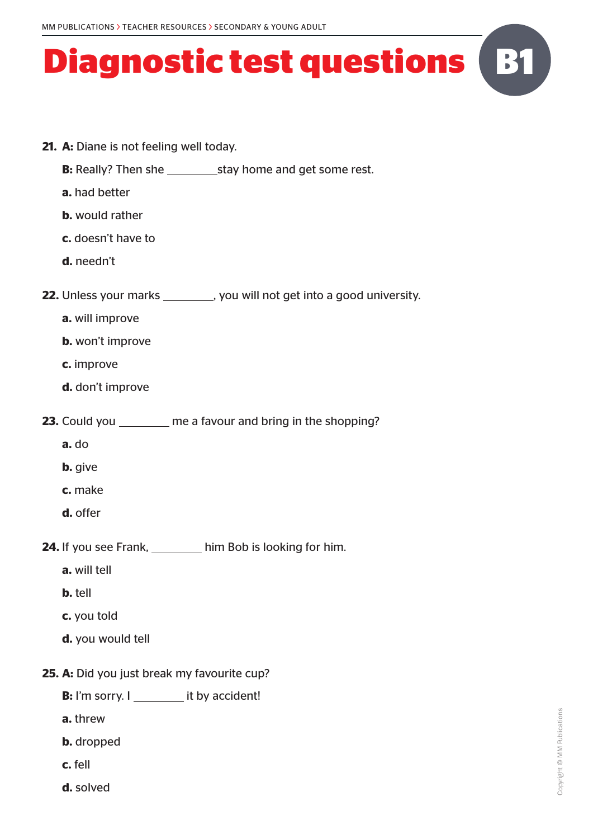- **21. A:** Diane is not feeling well today.
	- **B:** Really? Then she stay home and get some rest.
	- **a.** had better
	- **b.** would rather
	- **c.** doesn't have to
	- **d.** needn't
- **22.** Unless your marks you will not get into a good university.
	- **a.** will improve
	- **b.** won't improve
	- **c.** improve
	- **d.** don't improve
- **23.** Could you \_\_\_\_\_\_\_\_ me a favour and bring in the shopping?
	- **a.** do
	- **b.** give
	- **c.** make
	- **d.** offer
- **24.** If you see Frank, him Bob is looking for him.
	- **a.** will tell
	- **b.** tell
	- **c.** you told
	- **d.** you would tell
- **25. A:** Did you just break my favourite cup?
	- **B:** I'm sorry. I it by accident!
	- **a.** threw
	- **b.** dropped
	- **c.** fell
	- **d.** solved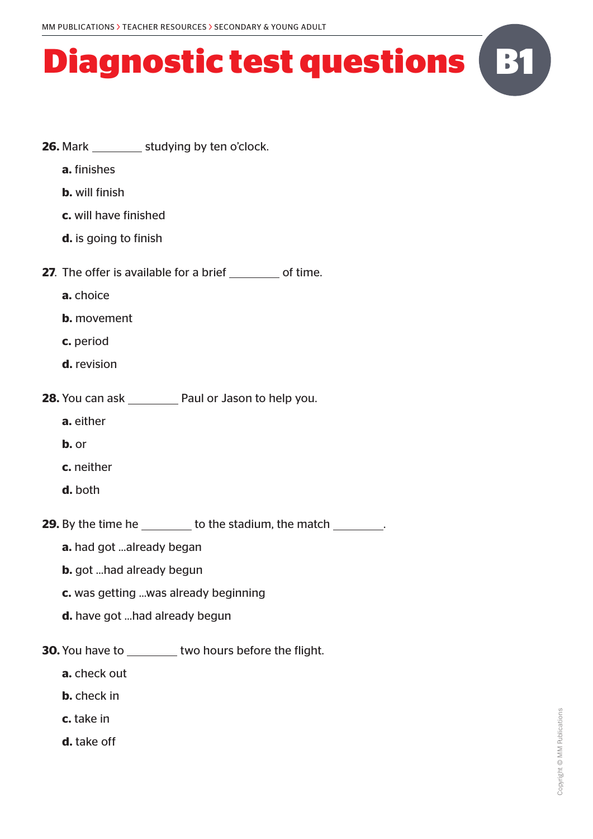- **26.** Mark studying by ten o'clock. **a.** finishes **b.** will finish **c.** will have finished **d.** is going to finish **27**. The offer is available for a brief of time. **a.** choice **b.** movement **c.** period **d.** revision **28.** You can ask \_\_\_\_\_\_\_\_ Paul or Jason to help you. **a.** either **b.** or **c.** neither **d.** both **29.** By the time he \_\_\_\_\_\_\_\_ to the stadium, the match \_\_\_\_\_\_\_\_. **a.** had got …already began **b.** got …had already begun **c.** was getting …was already beginning **d.** have got …had already begun **30.** You have to two hours before the flight. **a.** check out
	- **b.** check in
	- **c.** take in
	- **d.** take off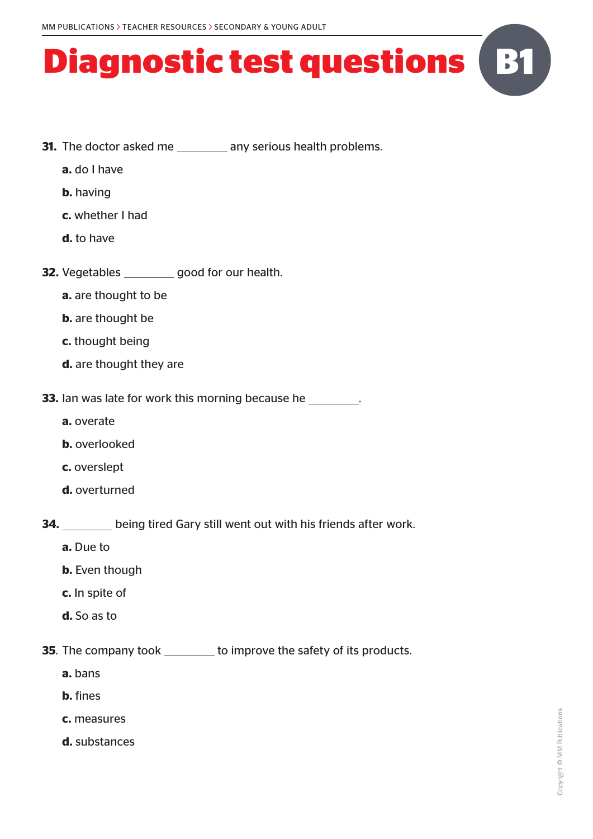- **31.** The doctor asked me \_\_\_\_\_\_\_\_\_ any serious health problems.
	- **a.** do I have
	- **b.** having
	- **c.** whether I had
	- **d.** to have
- **32.** Vegetables good for our health.
	- **a.** are thought to be
	- **b.** are thought be
	- **c.** thought being
	- **d.** are thought they are

**33.** Ian was late for work this morning because he

- **a.** overate
- **b.** overlooked
- **c.** overslept
- **d.** overturned

**34.** being tired Gary still went out with his friends after work.

- **a.** Due to
- **b.** Even though
- **c.** In spite of
- **d.** So as to
- **35**. The company took \_\_\_\_\_\_\_ to improve the safety of its products.
	- **a.** bans
	- **b.** fines
	- **c.** measures
	- **d.** substances